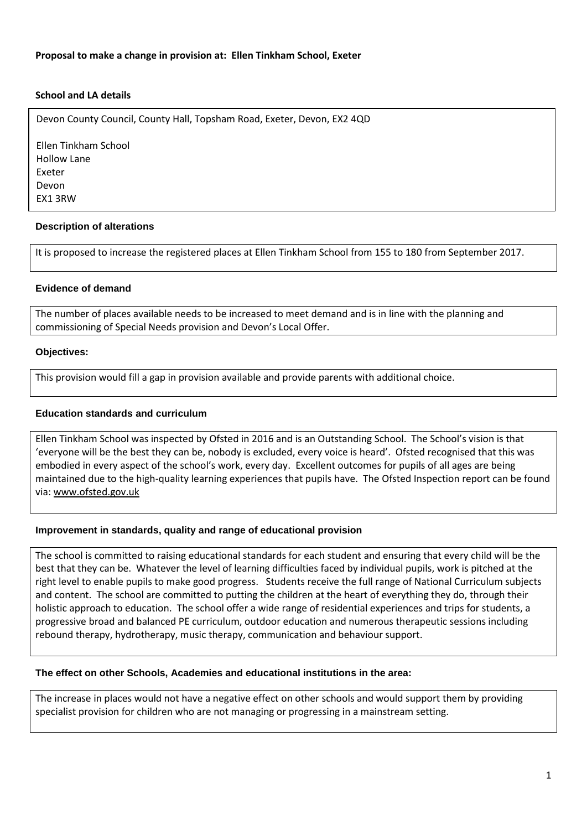# **School and LA details**

Devon County Council, County Hall, Topsham Road, Exeter, Devon, EX2 4QD

Ellen Tinkham School Hollow Lane Exeter Devon EX1 3RW

# **Description of alterations**

It is proposed to increase the registered places at Ellen Tinkham School from 155 to 180 from September 2017.

#### **Evidence of demand**

The number of places available needs to be increased to meet demand and is in line with the planning and commissioning of Special Needs provision and Devon's Local Offer.

#### **Objectives:**

This provision would fill a gap in provision available and provide parents with additional choice.

# **Education standards and curriculum**

Ellen Tinkham School was inspected by Ofsted in 2016 and is an Outstanding School. The School's vision is that 'everyone will be the best they can be, nobody is excluded, every voice is heard'. Ofsted recognised that this was embodied in every aspect of the school's work, every day. Excellent outcomes for pupils of all ages are being maintained due to the high-quality learning experiences that pupils have. The Ofsted Inspection report can be found via: [www.ofsted.gov.uk](http://www.ofsted.gov.uk/)

#### **Improvement in standards, quality and range of educational provision**

The school is committed to raising educational standards for each student and ensuring that every child will be the best that they can be. Whatever the level of learning difficulties faced by individual pupils, work is pitched at the right level to enable pupils to make good progress. Students receive the full range of National Curriculum subjects and content. The school are committed to putting the children at the heart of everything they do, through their holistic approach to education. The school offer a wide range of residential experiences and trips for students, a progressive broad and balanced PE curriculum, outdoor education and numerous therapeutic sessions including rebound therapy, hydrotherapy, music therapy, communication and behaviour support.

#### **The effect on other Schools, Academies and educational institutions in the area:**

The increase in places would not have a negative effect on other schools and would support them by providing specialist provision for children who are not managing or progressing in a mainstream setting.